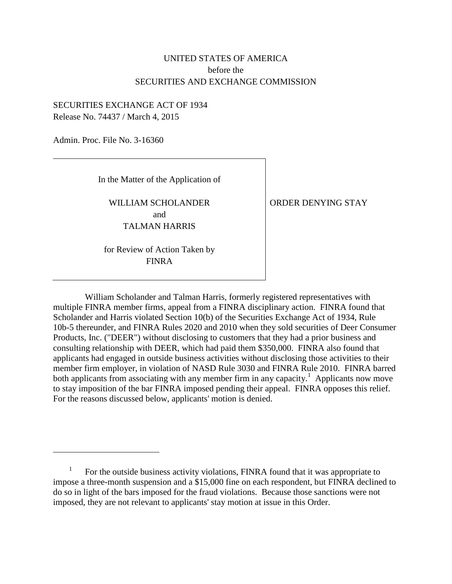# UNITED STATES OF AMERICA before the SECURITIES AND EXCHANGE COMMISSION

## SECURITIES EXCHANGE ACT OF 1934 Release No. 74437 / March 4, 2015

Admin. Proc. File No. 3-16360

 $\overline{a}$ 

In the Matter of the Application of

WILLIAM SCHOLANDER and TALMAN HARRIS

ORDER DENYING STAY

for Review of Action Taken by FINRA

William Scholander and Talman Harris, formerly registered representatives with multiple FINRA member firms, appeal from a FINRA disciplinary action. FINRA found that Scholander and Harris violated Section 10(b) of the Securities Exchange Act of 1934, Rule 10b-5 thereunder, and FINRA Rules 2020 and 2010 when they sold securities of Deer Consumer Products, Inc. ("DEER") without disclosing to customers that they had a prior business and consulting relationship with DEER, which had paid them \$350,000. FINRA also found that applicants had engaged in outside business activities without disclosing those activities to their member firm employer, in violation of NASD Rule 3030 and FINRA Rule 2010. FINRA barred both applicants from associating with any member firm in any capacity.<sup>1</sup> Applicants now move to stay imposition of the bar FINRA imposed pending their appeal. FINRA opposes this relief. For the reasons discussed below, applicants' motion is denied.

<sup>1</sup> For the outside business activity violations, FINRA found that it was appropriate to impose a three-month suspension and a \$15,000 fine on each respondent, but FINRA declined to do so in light of the bars imposed for the fraud violations. Because those sanctions were not imposed, they are not relevant to applicants' stay motion at issue in this Order.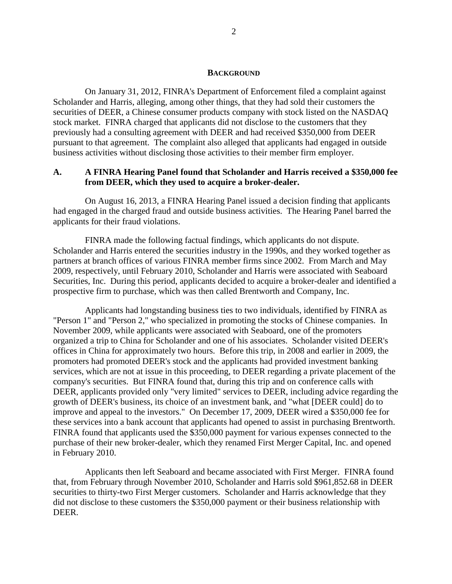#### **BACKGROUND**

On January 31, 2012, FINRA's Department of Enforcement filed a complaint against Scholander and Harris, alleging, among other things, that they had sold their customers the securities of DEER, a Chinese consumer products company with stock listed on the NASDAQ stock market. FINRA charged that applicants did not disclose to the customers that they previously had a consulting agreement with DEER and had received \$350,000 from DEER pursuant to that agreement. The complaint also alleged that applicants had engaged in outside business activities without disclosing those activities to their member firm employer.

## **A. A FINRA Hearing Panel found that Scholander and Harris received a \$350,000 fee from DEER, which they used to acquire a broker-dealer.**

On August 16, 2013, a FINRA Hearing Panel issued a decision finding that applicants had engaged in the charged fraud and outside business activities. The Hearing Panel barred the applicants for their fraud violations.

FINRA made the following factual findings, which applicants do not dispute. Scholander and Harris entered the securities industry in the 1990s, and they worked together as partners at branch offices of various FINRA member firms since 2002. From March and May 2009, respectively, until February 2010, Scholander and Harris were associated with Seaboard Securities, Inc. During this period, applicants decided to acquire a broker-dealer and identified a prospective firm to purchase, which was then called Brentworth and Company, Inc.

Applicants had longstanding business ties to two individuals, identified by FINRA as "Person 1" and "Person 2," who specialized in promoting the stocks of Chinese companies. In November 2009, while applicants were associated with Seaboard, one of the promoters organized a trip to China for Scholander and one of his associates. Scholander visited DEER's offices in China for approximately two hours. Before this trip, in 2008 and earlier in 2009, the promoters had promoted DEER's stock and the applicants had provided investment banking services, which are not at issue in this proceeding, to DEER regarding a private placement of the company's securities. But FINRA found that, during this trip and on conference calls with DEER, applicants provided only "very limited" services to DEER, including advice regarding the growth of DEER's business, its choice of an investment bank, and "what [DEER could] do to improve and appeal to the investors." On December 17, 2009, DEER wired a \$350,000 fee for these services into a bank account that applicants had opened to assist in purchasing Brentworth. FINRA found that applicants used the \$350,000 payment for various expenses connected to the purchase of their new broker-dealer, which they renamed First Merger Capital, Inc. and opened in February 2010.

Applicants then left Seaboard and became associated with First Merger. FINRA found that, from February through November 2010, Scholander and Harris sold \$961,852.68 in DEER securities to thirty-two First Merger customers. Scholander and Harris acknowledge that they did not disclose to these customers the \$350,000 payment or their business relationship with DEER.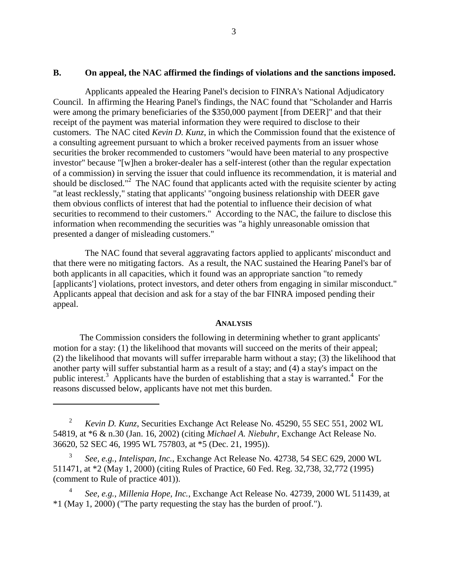#### **B. On appeal, the NAC affirmed the findings of violations and the sanctions imposed.**

Applicants appealed the Hearing Panel's decision to FINRA's National Adjudicatory Council. In affirming the Hearing Panel's findings, the NAC found that "Scholander and Harris were among the primary beneficiaries of the \$350,000 payment [from DEER]" and that their receipt of the payment was material information they were required to disclose to their customers. The NAC cited *Kevin D. Kunz*, in which the Commission found that the existence of a consulting agreement pursuant to which a broker received payments from an issuer whose securities the broker recommended to customers "would have been material to any prospective investor" because "[w]hen a broker-dealer has a self-interest (other than the regular expectation of a commission) in serving the issuer that could influence its recommendation, it is material and should be disclosed."<sup>2</sup> The NAC found that applicants acted with the requisite scienter by acting "at least recklessly," stating that applicants' "ongoing business relationship with DEER gave them obvious conflicts of interest that had the potential to influence their decision of what securities to recommend to their customers." According to the NAC, the failure to disclose this information when recommending the securities was "a highly unreasonable omission that presented a danger of misleading customers."

The NAC found that several aggravating factors applied to applicants' misconduct and that there were no mitigating factors. As a result, the NAC sustained the Hearing Panel's bar of both applicants in all capacities, which it found was an appropriate sanction "to remedy [applicants'] violations, protect investors, and deter others from engaging in similar misconduct." Applicants appeal that decision and ask for a stay of the bar FINRA imposed pending their appeal.

#### **ANALYSIS**

The Commission considers the following in determining whether to grant applicants' motion for a stay: (1) the likelihood that movants will succeed on the merits of their appeal; (2) the likelihood that movants will suffer irreparable harm without a stay; (3) the likelihood that another party will suffer substantial harm as a result of a stay; and (4) a stay's impact on the public interest.<sup>3</sup> Applicants have the burden of establishing that a stay is warranted.<sup>4</sup> For the reasons discussed below, applicants have not met this burden.

<sup>2</sup> *Kevin D. Kunz*, Securities Exchange Act Release No. 45290, 55 SEC 551, 2002 WL 54819, at \*6 & n.30 (Jan. 16, 2002) (citing *Michael A. Niebuhr*, Exchange Act Release No. 36620, 52 SEC 46, 1995 WL 757803, at \*5 (Dec. 21, 1995)).

<sup>3</sup> *See, e.g.*, *Intelispan, Inc.*, Exchange Act Release No. 42738, 54 SEC 629, 2000 WL 511471, at \*2 (May 1, 2000) (citing Rules of Practice, 60 Fed. Reg. 32,738, 32,772 (1995) (comment to Rule of practice 401)).

<sup>4</sup> *See, e.g.*, *Millenia Hope, Inc.*, Exchange Act Release No. 42739, 2000 WL 511439, at \*1 (May 1, 2000) ("The party requesting the stay has the burden of proof.").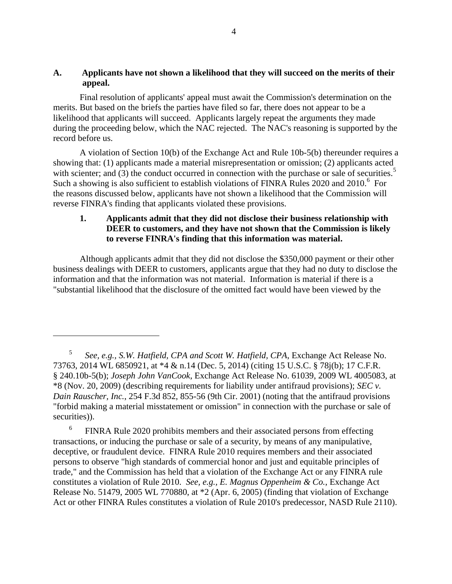## **A. Applicants have not shown a likelihood that they will succeed on the merits of their appeal.**

Final resolution of applicants' appeal must await the Commission's determination on the merits. But based on the briefs the parties have filed so far, there does not appear to be a likelihood that applicants will succeed. Applicants largely repeat the arguments they made during the proceeding below, which the NAC rejected. The NAC's reasoning is supported by the record before us.

A violation of Section 10(b) of the Exchange Act and Rule 10b-5(b) thereunder requires a showing that: (1) applicants made a material misrepresentation or omission; (2) applicants acted with scienter; and  $(3)$  the conduct occurred in connection with the purchase or sale of securities.<sup>5</sup> Such a showing is also sufficient to establish violations of FINRA Rules 2020 and 2010.<sup>6</sup> For the reasons discussed below, applicants have not shown a likelihood that the Commission will reverse FINRA's finding that applicants violated these provisions.

# **1. Applicants admit that they did not disclose their business relationship with DEER to customers, and they have not shown that the Commission is likely to reverse FINRA's finding that this information was material.**

Although applicants admit that they did not disclose the \$350,000 payment or their other business dealings with DEER to customers, applicants argue that they had no duty to disclose the information and that the information was not material. Information is material if there is a "substantial likelihood that the disclosure of the omitted fact would have been viewed by the

 $\overline{a}$ 

6 FINRA Rule 2020 prohibits members and their associated persons from effecting transactions, or inducing the purchase or sale of a security, by means of any manipulative, deceptive, or fraudulent device. FINRA Rule 2010 requires members and their associated persons to observe "high standards of commercial honor and just and equitable principles of trade," and the Commission has held that a violation of the Exchange Act or any FINRA rule constitutes a violation of Rule 2010. *See, e.g., E. Magnus Oppenheim & Co.*, Exchange Act Release No. 51479, 2005 WL 770880, at \*2 (Apr. 6, 2005) (finding that violation of Exchange Act or other FINRA Rules constitutes a violation of Rule 2010's predecessor, NASD Rule 2110).

<sup>5</sup> *See, e.g., S.W. Hatfield, CPA and Scott W. Hatfield, CPA*, Exchange Act Release No. 73763, 2014 WL 6850921, at \*4 & n.14 (Dec. 5, 2014) (citing 15 U.S.C. § 78j(b); 17 C.F.R. § 240.10b-5(b); *Joseph John VanCook*, Exchange Act Release No. 61039, 2009 WL 4005083, at \*8 (Nov. 20, 2009) (describing requirements for liability under antifraud provisions); *SEC v. Dain Rauscher, Inc.*, 254 F.3d 852, 855-56 (9th Cir. 2001) (noting that the antifraud provisions "forbid making a material misstatement or omission" in connection with the purchase or sale of securities)).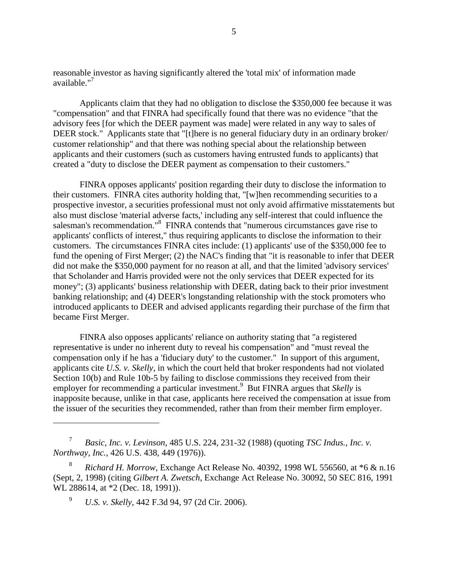reasonable investor as having significantly altered the 'total mix' of information made available."<sup>7</sup>

Applicants claim that they had no obligation to disclose the \$350,000 fee because it was "compensation" and that FINRA had specifically found that there was no evidence "that the advisory fees [for which the DEER payment was made] were related in any way to sales of DEER stock." Applicants state that "[t]here is no general fiduciary duty in an ordinary broker/ customer relationship" and that there was nothing special about the relationship between applicants and their customers (such as customers having entrusted funds to applicants) that created a "duty to disclose the DEER payment as compensation to their customers."

FINRA opposes applicants' position regarding their duty to disclose the information to their customers. FINRA cites authority holding that, "[w]hen recommending securities to a prospective investor, a securities professional must not only avoid affirmative misstatements but also must disclose 'material adverse facts,' including any self-interest that could influence the salesman's recommendation."<sup>8</sup> FINRA contends that "numerous circumstances gave rise to applicants' conflicts of interest," thus requiring applicants to disclose the information to their customers. The circumstances FINRA cites include: (1) applicants' use of the \$350,000 fee to fund the opening of First Merger; (2) the NAC's finding that "it is reasonable to infer that DEER did not make the \$350,000 payment for no reason at all, and that the limited 'advisory services' that Scholander and Harris provided were not the only services that DEER expected for its money"; (3) applicants' business relationship with DEER, dating back to their prior investment banking relationship; and (4) DEER's longstanding relationship with the stock promoters who introduced applicants to DEER and advised applicants regarding their purchase of the firm that became First Merger.

FINRA also opposes applicants' reliance on authority stating that "a registered representative is under no inherent duty to reveal his compensation" and "must reveal the compensation only if he has a 'fiduciary duty' to the customer." In support of this argument, applicants cite *U.S. v. Skelly*, in which the court held that broker respondents had not violated Section 10(b) and Rule 10b-5 by failing to disclose commissions they received from their employer for recommending a particular investment.<sup>9</sup> But FINRA argues that *Skelly* is inapposite because, unlike in that case, applicants here received the compensation at issue from the issuer of the securities they recommended, rather than from their member firm employer.

<sup>9</sup> *U.S. v. Skelly*, 442 F.3d 94, 97 (2d Cir. 2006).

<sup>7</sup> *Basic, Inc. v. Levinson*, 485 U.S. 224, 231-32 (1988) (quoting *TSC Indus., Inc. v. Northway, Inc.*, 426 U.S. 438, 449 (1976)).

<sup>8</sup> *Richard H. Morrow*, Exchange Act Release No. 40392, 1998 WL 556560, at \*6 & n.16 (Sept, 2, 1998) (citing *Gilbert A. Zwetsch*, Exchange Act Release No. 30092, 50 SEC 816, 1991 WL 288614, at  $*2$  (Dec. 18, 1991)).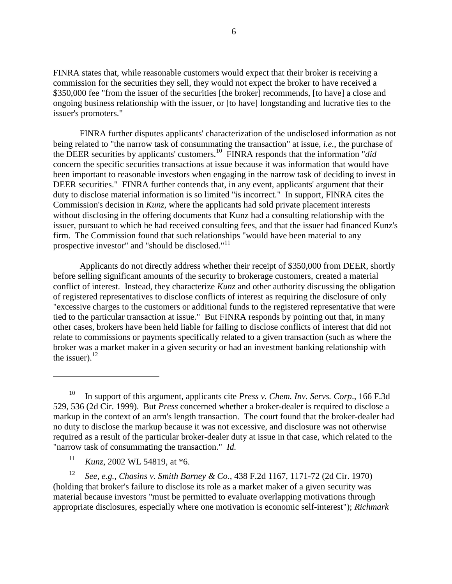FINRA states that, while reasonable customers would expect that their broker is receiving a commission for the securities they sell, they would not expect the broker to have received a \$350,000 fee "from the issuer of the securities [the broker] recommends, [to have] a close and ongoing business relationship with the issuer, or [to have] longstanding and lucrative ties to the issuer's promoters."

FINRA further disputes applicants' characterization of the undisclosed information as not being related to "the narrow task of consummating the transaction" at issue, *i.e.*, the purchase of the DEER securities by applicants' customers.<sup>10</sup> FINRA responds that the information "*did*  concern the specific securities transactions at issue because it was information that would have been important to reasonable investors when engaging in the narrow task of deciding to invest in DEER securities." FINRA further contends that, in any event, applicants' argument that their duty to disclose material information is so limited "is incorrect." In support, FINRA cites the Commission's decision in *Kunz*, where the applicants had sold private placement interests without disclosing in the offering documents that Kunz had a consulting relationship with the issuer, pursuant to which he had received consulting fees, and that the issuer had financed Kunz's firm. The Commission found that such relationships "would have been material to any prospective investor" and "should be disclosed." $^{11}$ 

Applicants do not directly address whether their receipt of \$350,000 from DEER, shortly before selling significant amounts of the security to brokerage customers, created a material conflict of interest. Instead, they characterize *Kunz* and other authority discussing the obligation of registered representatives to disclose conflicts of interest as requiring the disclosure of only "excessive charges to the customers or additional funds to the registered representative that were tied to the particular transaction at issue." But FINRA responds by pointing out that, in many other cases, brokers have been held liable for failing to disclose conflicts of interest that did not relate to commissions or payments specifically related to a given transaction (such as where the broker was a market maker in a given security or had an investment banking relationship with the issuer). $^{12}$ 

<sup>11</sup> *Kunz*, 2002 WL 54819, at \*6.

 $\overline{a}$ 

<sup>12</sup> *See, e.g., Chasins v. Smith Barney & Co.*, 438 F.2d 1167, 1171-72 (2d Cir. 1970) (holding that broker's failure to disclose its role as a market maker of a given security was material because investors "must be permitted to evaluate overlapping motivations through appropriate disclosures, especially where one motivation is economic self-interest"); *Richmark* 

<sup>10</sup> In support of this argument, applicants cite *Press v. Chem. Inv. Servs. Corp*., 166 F.3d 529, 536 (2d Cir. 1999). But *Press* concerned whether a broker-dealer is required to disclose a markup in the context of an arm's length transaction. The court found that the broker-dealer had no duty to disclose the markup because it was not excessive, and disclosure was not otherwise required as a result of the particular broker-dealer duty at issue in that case, which related to the "narrow task of consummating the transaction." *Id.*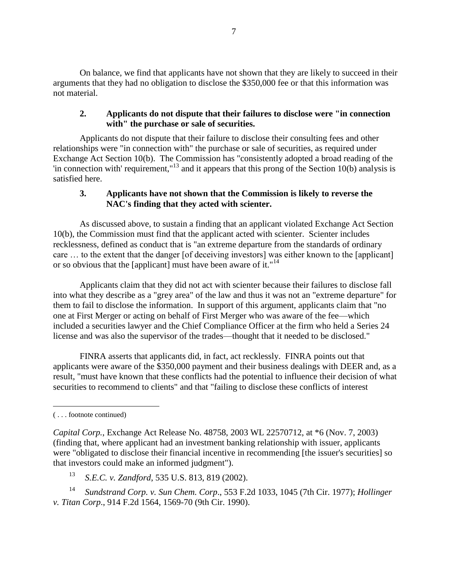On balance, we find that applicants have not shown that they are likely to succeed in their arguments that they had no obligation to disclose the \$350,000 fee or that this information was not material.

## **2. Applicants do not dispute that their failures to disclose were "in connection with" the purchase or sale of securities.**

Applicants do not dispute that their failure to disclose their consulting fees and other relationships were "in connection with" the purchase or sale of securities, as required under Exchange Act Section 10(b). The Commission has "consistently adopted a broad reading of the 'in connection with' requirement,"<sup>13</sup> and it appears that this prong of the Section 10(b) analysis is satisfied here.

## **3. Applicants have not shown that the Commission is likely to reverse the NAC's finding that they acted with scienter.**

As discussed above, to sustain a finding that an applicant violated Exchange Act Section 10(b), the Commission must find that the applicant acted with scienter. Scienter includes recklessness, defined as conduct that is "an extreme departure from the standards of ordinary care … to the extent that the danger [of deceiving investors] was either known to the [applicant] or so obvious that the [applicant] must have been aware of it."<sup>14</sup>

Applicants claim that they did not act with scienter because their failures to disclose fall into what they describe as a "grey area" of the law and thus it was not an "extreme departure" for them to fail to disclose the information. In support of this argument, applicants claim that "no one at First Merger or acting on behalf of First Merger who was aware of the fee—which included a securities lawyer and the Chief Compliance Officer at the firm who held a Series 24 license and was also the supervisor of the trades—thought that it needed to be disclosed."

FINRA asserts that applicants did, in fact, act recklessly. FINRA points out that applicants were aware of the \$350,000 payment and their business dealings with DEER and, as a result, "must have known that these conflicts had the potential to influence their decision of what securities to recommend to clients" and that "failing to disclose these conflicts of interest

<sup>13</sup> *S.E.C. v. Zandford*, 535 U.S. 813, 819 (2002).

<sup>14</sup> *Sundstrand Corp. v. Sun Chem. Corp*., 553 F.2d 1033, 1045 (7th Cir. 1977); *Hollinger v. Titan Corp*., 914 F.2d 1564, 1569-70 (9th Cir. 1990).

 $\overline{a}$ ( . . . footnote continued)

*Capital Corp.*, Exchange Act Release No. 48758, 2003 WL 22570712, at \*6 (Nov. 7, 2003) (finding that, where applicant had an investment banking relationship with issuer, applicants were "obligated to disclose their financial incentive in recommending [the issuer's securities] so that investors could make an informed judgment").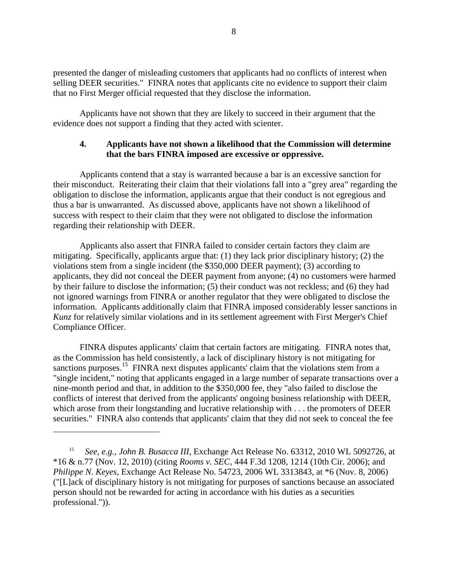presented the danger of misleading customers that applicants had no conflicts of interest when selling DEER securities." FINRA notes that applicants cite no evidence to support their claim that no First Merger official requested that they disclose the information.

Applicants have not shown that they are likely to succeed in their argument that the evidence does not support a finding that they acted with scienter.

## **4. Applicants have not shown a likelihood that the Commission will determine that the bars FINRA imposed are excessive or oppressive.**

Applicants contend that a stay is warranted because a bar is an excessive sanction for their misconduct. Reiterating their claim that their violations fall into a "grey area" regarding the obligation to disclose the information, applicants argue that their conduct is not egregious and thus a bar is unwarranted. As discussed above, applicants have not shown a likelihood of success with respect to their claim that they were not obligated to disclose the information regarding their relationship with DEER.

Applicants also assert that FINRA failed to consider certain factors they claim are mitigating. Specifically, applicants argue that: (1) they lack prior disciplinary history; (2) the violations stem from a single incident (the \$350,000 DEER payment); (3) according to applicants, they did not conceal the DEER payment from anyone; (4) no customers were harmed by their failure to disclose the information; (5) their conduct was not reckless; and (6) they had not ignored warnings from FINRA or another regulator that they were obligated to disclose the information. Applicants additionally claim that FINRA imposed considerably lesser sanctions in *Kunz* for relatively similar violations and in its settlement agreement with First Merger's Chief Compliance Officer.

FINRA disputes applicants' claim that certain factors are mitigating. FINRA notes that, as the Commission has held consistently, a lack of disciplinary history is not mitigating for sanctions purposes.<sup>15</sup> FINRA next disputes applicants' claim that the violations stem from a "single incident," noting that applicants engaged in a large number of separate transactions over a nine-month period and that, in addition to the \$350,000 fee, they "also failed to disclose the conflicts of interest that derived from the applicants' ongoing business relationship with DEER, which arose from their longstanding and lucrative relationship with . . . the promoters of DEER securities." FINRA also contends that applicants' claim that they did not seek to conceal the fee

<sup>15</sup> *See, e.g., John B. Busacca III*, Exchange Act Release No. 63312, 2010 WL 5092726, at \*16 & n.77 (Nov. 12, 2010) (citing *Rooms v. SEC,* 444 F.3d 1208, 1214 (10th Cir. 2006); and *Philippe N. Keyes*, Exchange Act Release No. 54723, 2006 WL 3313843, at \*6 (Nov. 8, 2006) ("[L]ack of disciplinary history is not mitigating for purposes of sanctions because an associated person should not be rewarded for acting in accordance with his duties as a securities professional.")).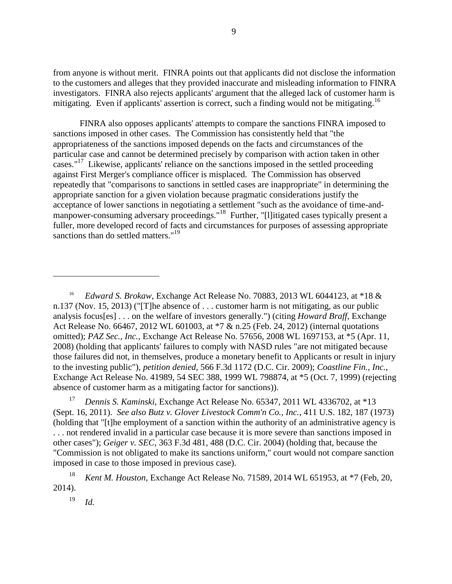from anyone is without merit. FINRA points out that applicants did not disclose the information to the customers and alleges that they provided inaccurate and misleading information to FINRA investigators. FINRA also rejects applicants' argument that the alleged lack of customer harm is mitigating. Even if applicants' assertion is correct, such a finding would not be mitigating.<sup>16</sup>

FINRA also opposes applicants' attempts to compare the sanctions FINRA imposed to sanctions imposed in other cases. The Commission has consistently held that "the appropriateness of the sanctions imposed depends on the facts and circumstances of the particular case and cannot be determined precisely by comparison with action taken in other cases."<sup>17</sup> Likewise, applicants' reliance on the sanctions imposed in the settled proceeding against First Merger's compliance officer is misplaced. The Commission has observed repeatedly that "comparisons to sanctions in settled cases are inappropriate" in determining the appropriate sanction for a given violation because pragmatic considerations justify the acceptance of lower sanctions in negotiating a settlement "such as the avoidance of time-andmanpower-consuming adversary proceedings."<sup>18</sup> Further, "[l]itigated cases typically present a fuller, more developed record of facts and circumstances for purposes of assessing appropriate sanctions than do settled matters."<sup>19</sup>

<sup>17</sup> *Dennis S. Kaminski*, Exchange Act Release No. 65347, 2011 WL 4336702, at \*13 (Sept. 16, 2011). *See also Butz v. Glover Livestock Comm'n Co., Inc.*, 411 U.S. 182, 187 (1973) (holding that "[t]he employment of a sanction within the authority of an administrative agency is . . . not rendered invalid in a particular case because it is more severe than sanctions imposed in other cases"); *Geiger v. SEC*, 363 F.3d 481, 488 (D.C. Cir. 2004) (holding that, because the "Commission is not obligated to make its sanctions uniform," court would not compare sanction imposed in case to those imposed in previous case).

<sup>16</sup> *Edward S. Brokaw*, Exchange Act Release No. 70883, 2013 WL 6044123, at \*18 & n.137 (Nov. 15, 2013) ("[T]he absence of . . . customer harm is not mitigating, as our public analysis focus[es] . . . on the welfare of investors generally.") (citing *Howard Braff*, Exchange Act Release No. 66467, 2012 WL 601003, at \*7 & n.25 (Feb. 24, 2012) (internal quotations omitted); *PAZ Sec., Inc.*, Exchange Act Release No. 57656, 2008 WL 1697153, at \*5 (Apr. 11, 2008) (holding that applicants' failures to comply with NASD rules "are not mitigated because those failures did not, in themselves, produce a monetary benefit to Applicants or result in injury to the investing public"), *petition denied*, 566 F.3d 1172 (D.C. Cir. 2009); *Coastline Fin., Inc.*, Exchange Act Release No. 41989, 54 SEC 388, 1999 WL 798874, at \*5 (Oct. 7, 1999) (rejecting absence of customer harm as a mitigating factor for sanctions)).

<sup>18</sup> *Kent M. Houston*, Exchange Act Release No. 71589, 2014 WL 651953, at \*7 (Feb, 20, 2014).

<sup>19</sup> *Id.*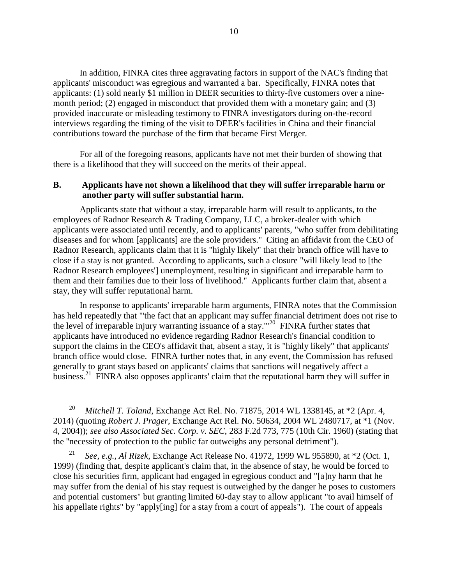In addition, FINRA cites three aggravating factors in support of the NAC's finding that applicants' misconduct was egregious and warranted a bar. Specifically, FINRA notes that applicants: (1) sold nearly \$1 million in DEER securities to thirty-five customers over a ninemonth period; (2) engaged in misconduct that provided them with a monetary gain; and (3) provided inaccurate or misleading testimony to FINRA investigators during on-the-record interviews regarding the timing of the visit to DEER's facilities in China and their financial contributions toward the purchase of the firm that became First Merger.

For all of the foregoing reasons, applicants have not met their burden of showing that there is a likelihood that they will succeed on the merits of their appeal.

## **B. Applicants have not shown a likelihood that they will suffer irreparable harm or another party will suffer substantial harm.**

Applicants state that without a stay, irreparable harm will result to applicants, to the employees of Radnor Research & Trading Company, LLC, a broker-dealer with which applicants were associated until recently, and to applicants' parents, "who suffer from debilitating diseases and for whom [applicants] are the sole providers." Citing an affidavit from the CEO of Radnor Research, applicants claim that it is "highly likely" that their branch office will have to close if a stay is not granted. According to applicants, such a closure "will likely lead to [the Radnor Research employees'] unemployment, resulting in significant and irreparable harm to them and their families due to their loss of livelihood." Applicants further claim that, absent a stay, they will suffer reputational harm.

In response to applicants' irreparable harm arguments, FINRA notes that the Commission has held repeatedly that "'the fact that an applicant may suffer financial detriment does not rise to the level of irreparable injury warranting issuance of a stay."<sup>20</sup> FINRA further states that applicants have introduced no evidence regarding Radnor Research's financial condition to support the claims in the CEO's affidavit that, absent a stay, it is "highly likely" that applicants' branch office would close. FINRA further notes that, in any event, the Commission has refused generally to grant stays based on applicants' claims that sanctions will negatively affect a business.<sup>21</sup> FINRA also opposes applicants' claim that the reputational harm they will suffer in

<sup>20</sup> *Mitchell T. Toland*, Exchange Act Rel. No. 71875, 2014 WL 1338145, at \*2 (Apr. 4, 2014) (quoting *Robert J. Prager*, Exchange Act Rel. No. 50634, 2004 WL 2480717, at \*1 (Nov. 4, 2004)); *see also Associated Sec. Corp. v. SEC*, 283 F.2d 773, 775 (10th Cir. 1960) (stating that the ''necessity of protection to the public far outweighs any personal detriment").

 $\overline{a}$ 

<sup>21</sup> *See, e.g., Al Rizek*, Exchange Act Release No. 41972, 1999 WL 955890, at \*2 (Oct. 1, 1999) (finding that, despite applicant's claim that, in the absence of stay, he would be forced to close his securities firm, applicant had engaged in egregious conduct and "[a]ny harm that he may suffer from the denial of his stay request is outweighed by the danger he poses to customers and potential customers" but granting limited 60-day stay to allow applicant "to avail himself of his appellate rights" by "apply[ing] for a stay from a court of appeals"). The court of appeals